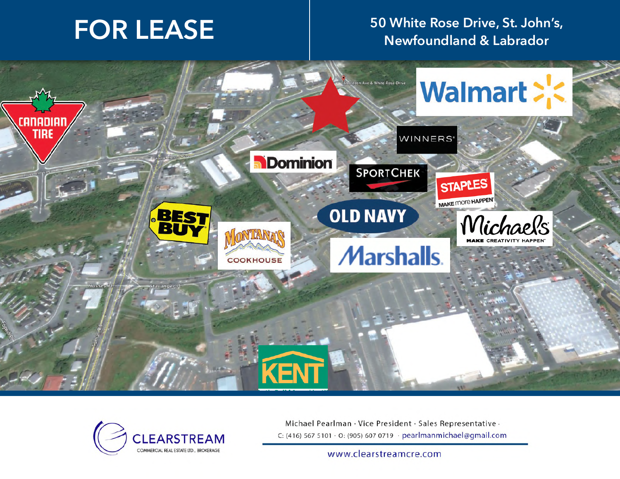# **FOR LEASE 50 White Rose Drive, St. John's, Newfoundland & Labrador**





Michael Pearlman · Vice President · Sales Representative · C: (416) 567 5101 · O: (905) 607 0719 · pearlmanmichael@gmail.com

www.clearstreamcre.com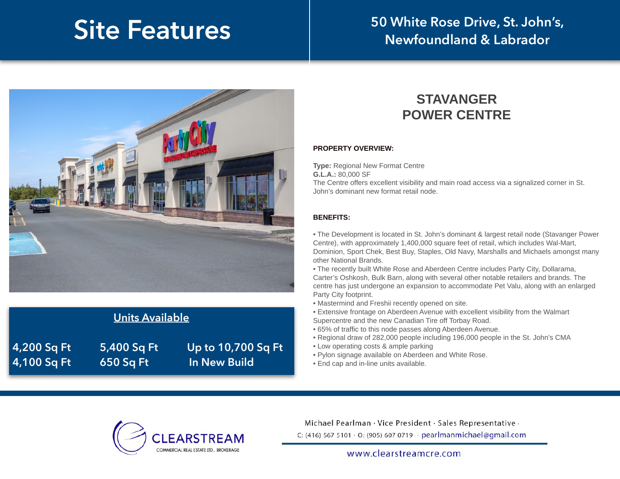# **Site Features**

## **50 White Rose Drive, St. John's, Newfoundland & Labrador**



| Units Available |             |                     |
|-----------------|-------------|---------------------|
| 4,200 Sq Ft     | 5,400 Sq Ft | Up to 10,700 Sq Ft  |
| 4,100 Sq Ft     | 650 Sq Ft   | <b>In New Build</b> |

#### **STAVANGER POWER CENTRE**

#### **PROPERTY OVERVIEW:**

**Type:** Regional New Format Centre **G.L.A.:** 80,000 SF The Centre offers excellent visibility and main road access via a signalized corner in St. John's dominant new format retail node.

#### **BENEFITS:**

• The Development is located in St. John's dominant & largest retail node (Stavanger Power Centre), with approximately 1,400,000 square feet of retail, which includes Wal-Mart, Dominion, Sport Chek, Best Buy, Staples, Old Navy, Marshalls and Michaels amongst many other National Brands.

• The recently built White Rose and Aberdeen Centre includes Party City, Dollarama, Carter's Oshkosh, Bulk Barn, along with several other notable retailers and brands. The centre has just undergone an expansion to accommodate Pet Valu, along with an enlarged Party City footprint.

- Mastermind and Freshii recently opened on site.
- Extensive frontage on Aberdeen Avenue with excellent visibility from the Walmart Supercentre and the new Canadian Tire off Torbay Road.
- 
- 65% of traffic to this node passes along Aberdeen Avenue.
- Regional draw of 282,000 people including 196,000 people in the St. John's CMA
- Low operating costs & ample parking
- Pylon signage available on Aberdeen and White Rose.
- End cap and in-line units available.



Michael Pearlman · Vice President · Sales Representative · C: (416) 567 5101 · O: (905) 607 0719 · pearlmanmichael@gmail.com

www.clearstreamcre.com